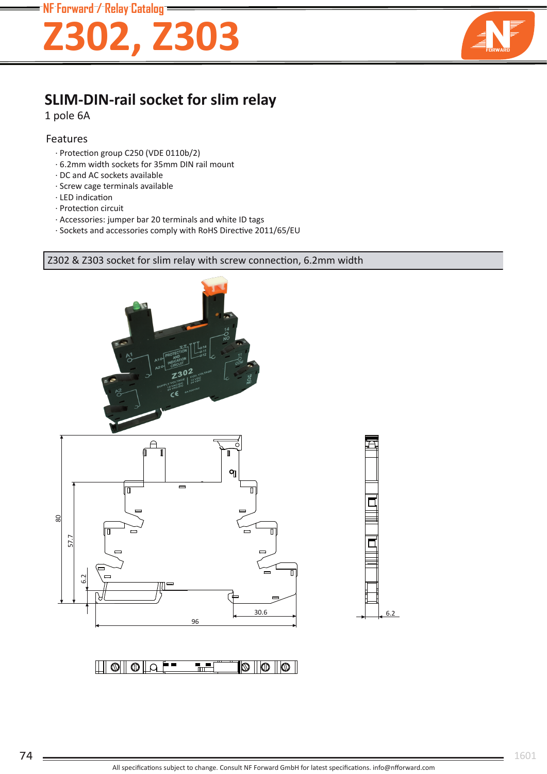

## **SLIM-DIN-rail socket for slim relay**

1 pole 6A

#### Features

- · Protection group C250 (VDE 0110b/2)
- · 6.2mm width sockets for 35mm DIN rail mount
- · DC and AC sockets available
- · Screw cage terminals available
- · LED indication
- · Protection circuit
- · Accessories: jumper bar 20 terminals and white ID tags
- · Sockets and accessories comply with RoHS Directive 2011/65/EU

#### Z302 & Z303 socket for slim relay with screw connection, 6.2mm width